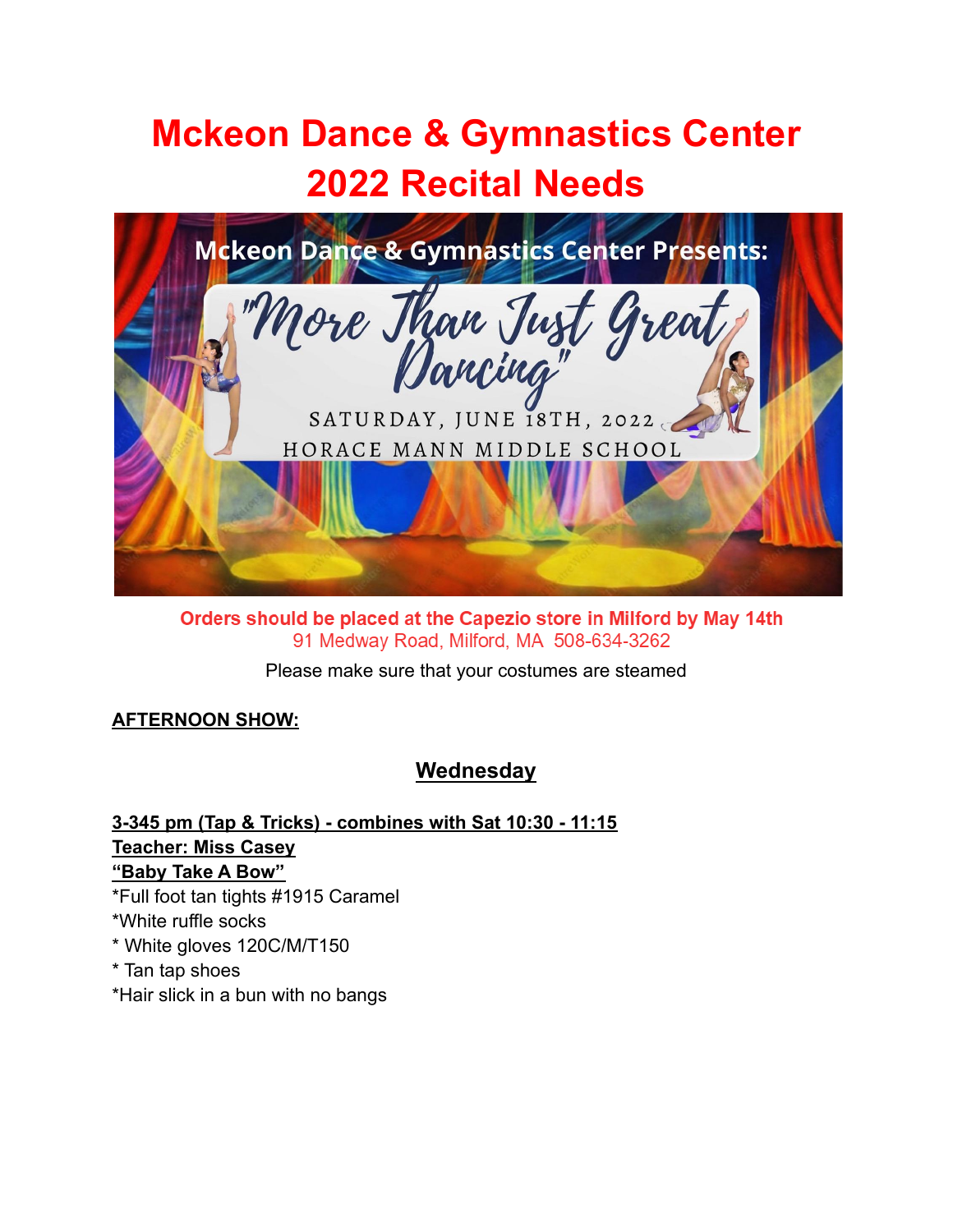# **Mckeon Dance & Gymnastics Center 2022 Recital Needs**



Orders should be placed at the Capezio store in Milford by May 14th 91 Medway Road, Milford, MA 508-634-3262

Please make sure that your costumes are steamed

### **AFTERNOON SHOW:**

# **Wednesday**

**3-345 pm (Tap & Tricks) - combines with Sat 10:30 - 11:15 Teacher: Miss Casey "Baby Take A Bow"** \*Full foot tan tights #1915 Caramel \*White ruffle socks

- \* White gloves 120C/M/T150
- \* Tan tap shoes
- \*Hair slick in a bun with no bangs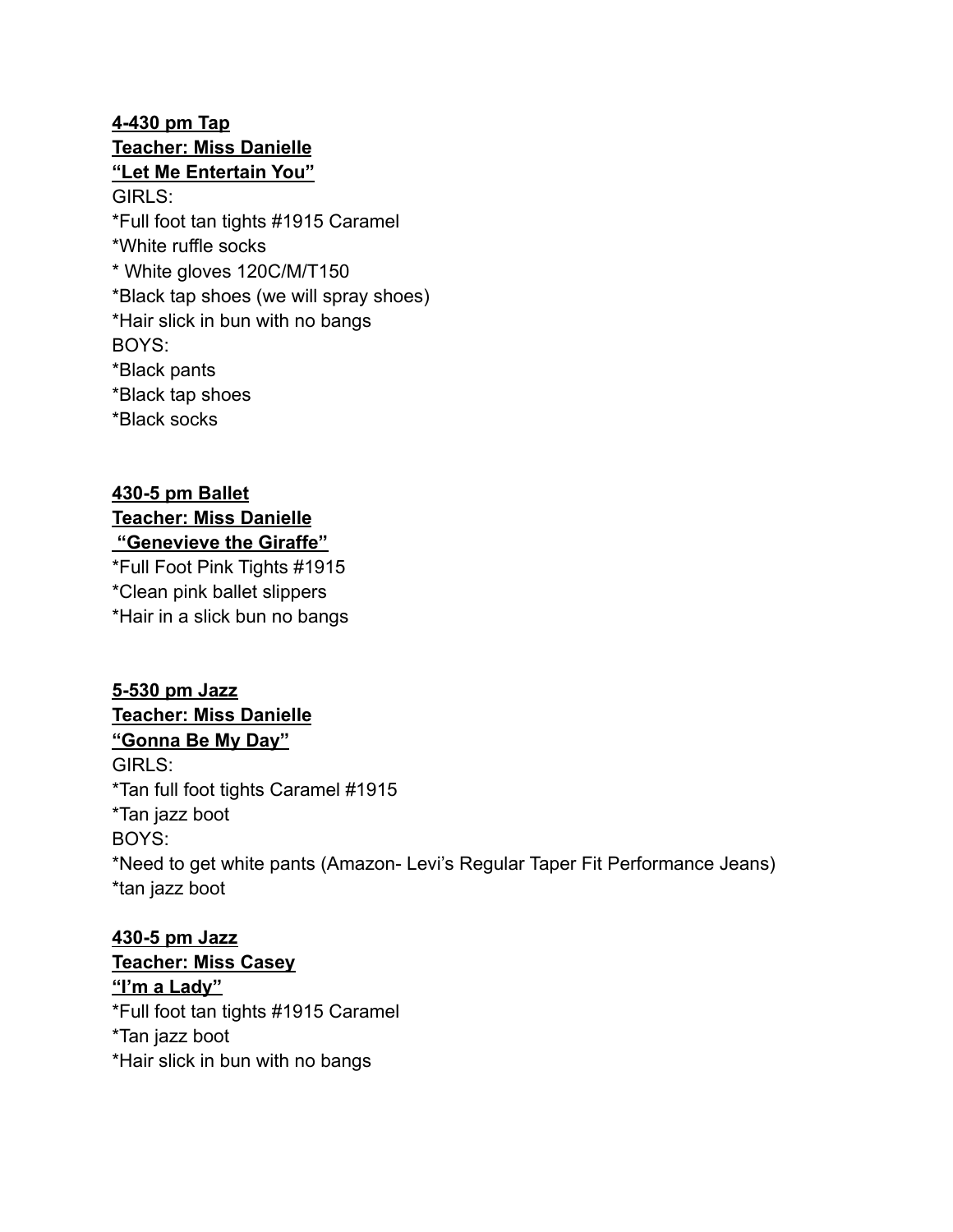## **4-430 pm Tap Teacher: Miss Danielle "Let Me Entertain You"** GIRLS: \*Full foot tan tights #1915 Caramel \*White ruffle socks \* White gloves 120C/M/T150 \*Black tap shoes (we will spray shoes) \*Hair slick in bun with no bangs BOYS: \*Black pants \*Black tap shoes

\*Black socks

# **430-5 pm Ballet**

#### **Teacher: Miss Danielle "Genevieve the Giraffe"**

\*Full Foot Pink Tights #1915 \*Clean pink ballet slippers \*Hair in a slick bun no bangs

### **5-530 pm Jazz Teacher: Miss Danielle**

**"Gonna Be My Day"**

GIRLS: \*Tan full foot tights Caramel #1915 \*Tan jazz boot BOYS: \*Need to get white pants (Amazon- Levi's Regular Taper Fit Performance Jeans) \*tan jazz boot

### **430-5 pm Jazz Teacher: Miss Casey**

**"I'm a Lady"** \*Full foot tan tights #1915 Caramel \*Tan jazz boot \*Hair slick in bun with no bangs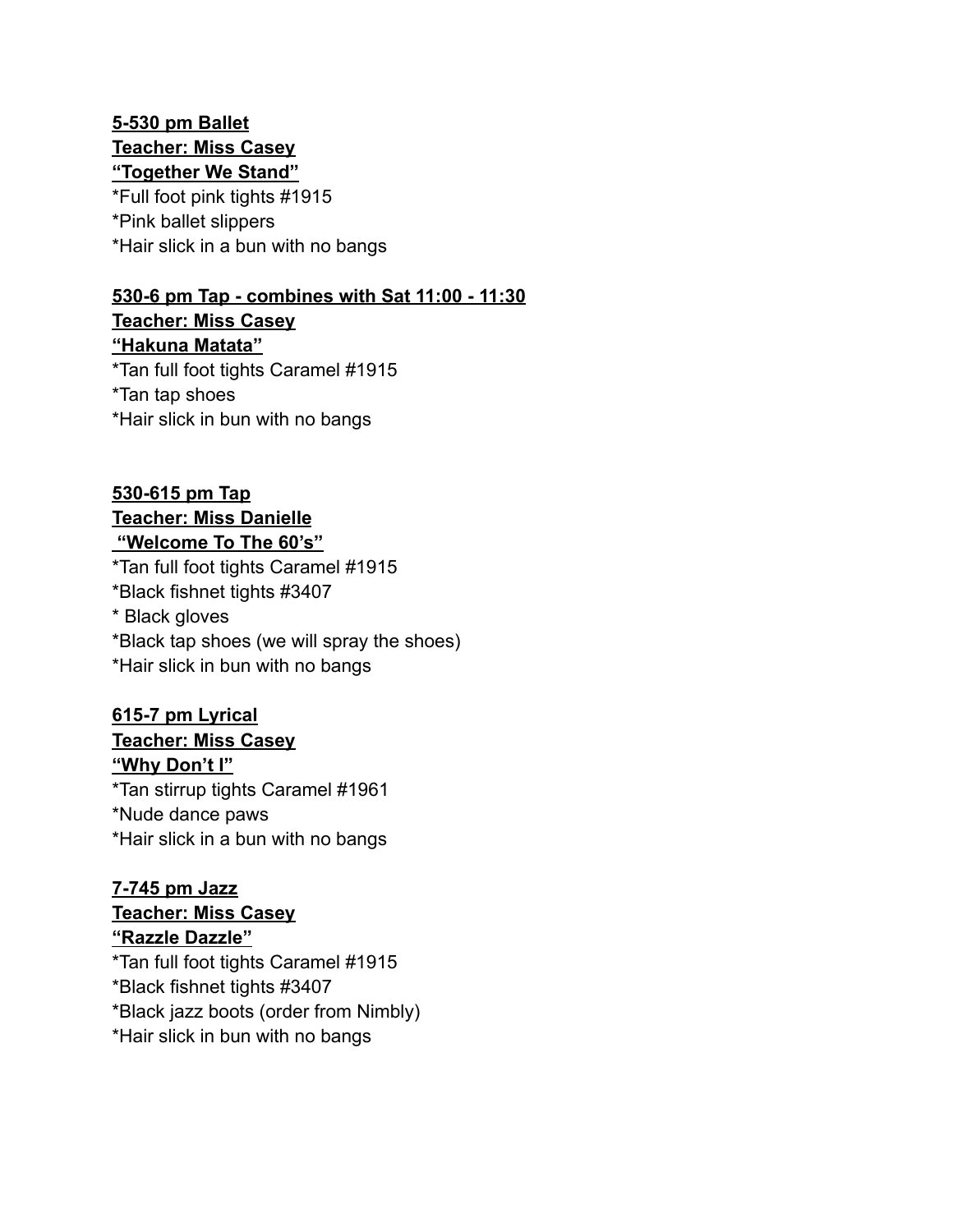### **5-530 pm Ballet Teacher: Miss Casey "Together We Stand"**

\*Full foot pink tights #1915 \*Pink ballet slippers \*Hair slick in a bun with no bangs

# **530-6 pm Tap - combines with Sat 11:00 - 11:30**

**Teacher: Miss Casey "Hakuna Matata"** \*Tan full foot tights Caramel #1915 \*Tan tap shoes \*Hair slick in bun with no bangs

# **530-615 pm Tap Teacher: Miss Danielle "Welcome To The 60's"**

\*Tan full foot tights Caramel #1915 \*Black fishnet tights #3407 \* Black gloves \*Black tap shoes (we will spray the shoes) \*Hair slick in bun with no bangs

### **615-7 pm Lyrical Teacher: Miss Casey "Why Don't I"** \*Tan stirrup tights Caramel #1961 \*Nude dance paws \*Hair slick in a bun with no bangs

### **7-745 pm Jazz Teacher: Miss Casey "Razzle Dazzle"**

\*Tan full foot tights Caramel #1915 \*Black fishnet tights #3407 \*Black jazz boots (order from Nimbly) \*Hair slick in bun with no bangs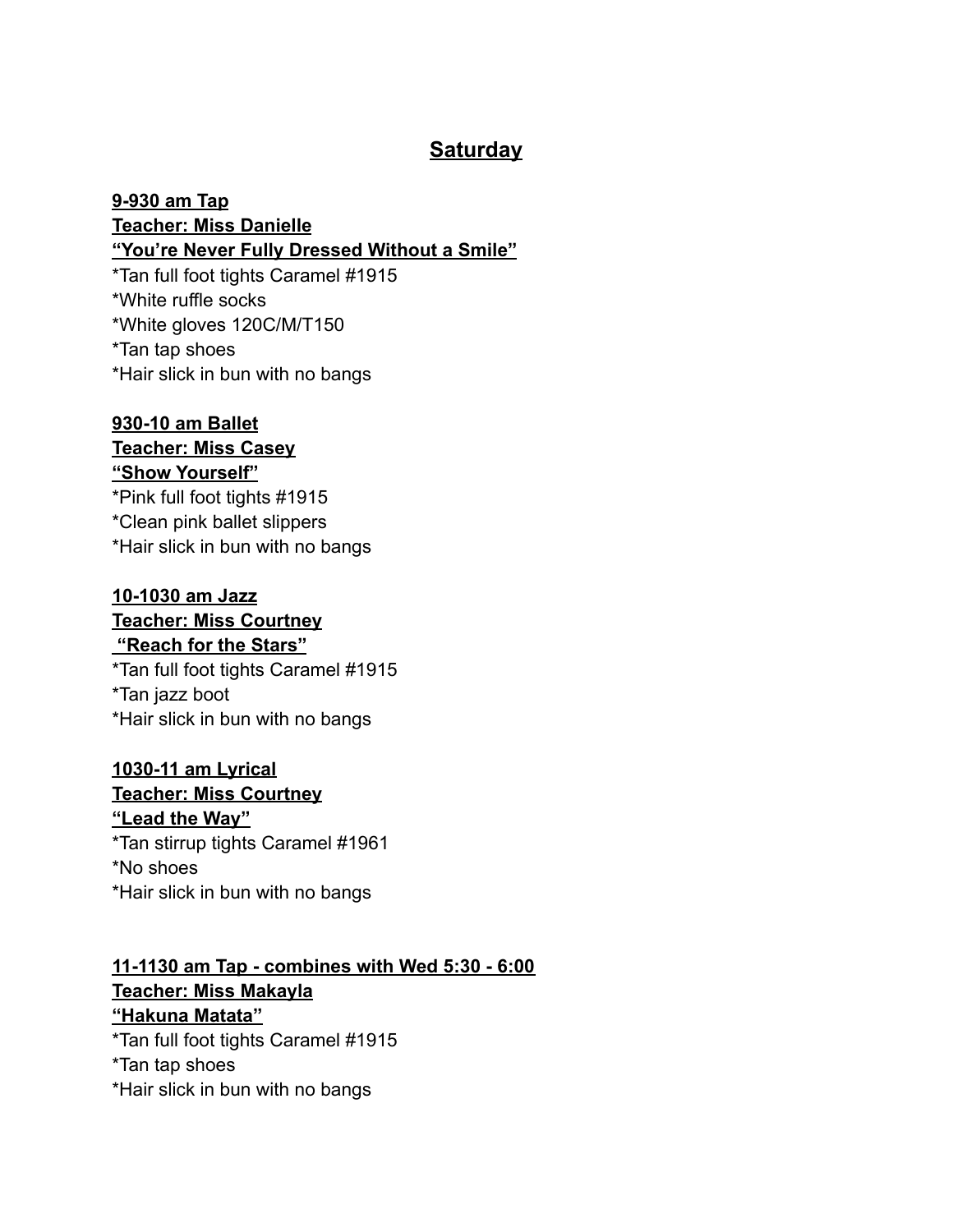# **Saturday**

**9-930 am Tap Teacher: Miss Danielle "You're Never Fully Dressed Without a Smile"** \*Tan full foot tights Caramel #1915 \*White ruffle socks

\*White gloves 120C/M/T150 \*Tan tap shoes \*Hair slick in bun with no bangs

# **930-10 am Ballet**

#### **Teacher: Miss Casey "Show Yourself"**

\*Pink full foot tights #1915 \*Clean pink ballet slippers \*Hair slick in bun with no bangs

### **10-1030 am Jazz**

### **Teacher: Miss Courtney "Reach for the Stars"**

\*Tan full foot tights Caramel #1915 \*Tan jazz boot \*Hair slick in bun with no bangs

# **1030-11 am Lyrical**

### **Teacher: Miss Courtney**

### **"Lead the Way"**

\*Tan stirrup tights Caramel #1961 \*No shoes \*Hair slick in bun with no bangs

### **11-1130 am Tap - combines with Wed 5:30 - 6:00 Teacher: Miss Makayla "Hakuna Matata"** \*Tan full foot tights Caramel #1915 \*Tan tap shoes

\*Hair slick in bun with no bangs